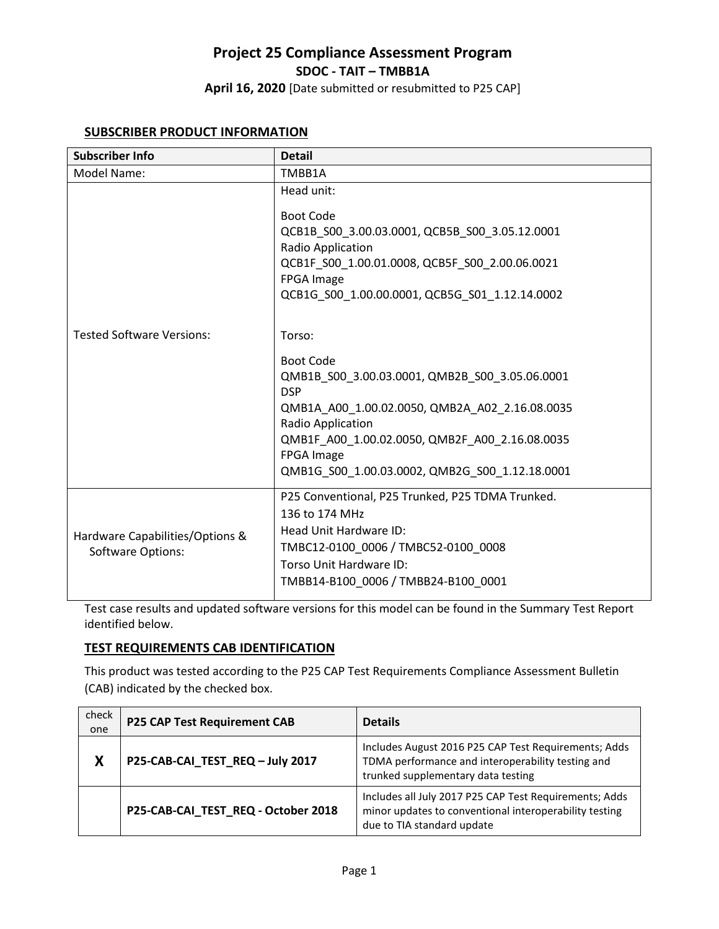**April 16, 2020** [Date submitted or resubmitted to P25 CAP]

### **SUBSCRIBER PRODUCT INFORMATION**

| <b>Subscriber Info</b>                                      | <b>Detail</b>                                                                    |
|-------------------------------------------------------------|----------------------------------------------------------------------------------|
| Model Name:                                                 | TMBB1A                                                                           |
|                                                             | Head unit:<br><b>Boot Code</b>                                                   |
|                                                             | QCB1B S00 3.00.03.0001, QCB5B S00 3.05.12.0001<br>Radio Application              |
|                                                             | QCB1F S00 1.00.01.0008, QCB5F S00 2.00.06.0021                                   |
|                                                             | FPGA Image<br>QCB1G_S00_1.00.00.0001, QCB5G_S01_1.12.14.0002                     |
| <b>Tested Software Versions:</b>                            | Torso:                                                                           |
|                                                             | <b>Boot Code</b><br>QMB1B S00 3.00.03.0001, QMB2B S00 3.05.06.0001<br><b>DSP</b> |
|                                                             | QMB1A A00 1.00.02.0050, QMB2A A02 2.16.08.0035<br>Radio Application              |
|                                                             | QMB1F A00 1.00.02.0050, QMB2F A00 2.16.08.0035<br><b>FPGA Image</b>              |
|                                                             | QMB1G S00 1.00.03.0002, QMB2G S00 1.12.18.0001                                   |
| Hardware Capabilities/Options &<br><b>Software Options:</b> | P25 Conventional, P25 Trunked, P25 TDMA Trunked.<br>136 to 174 MHz               |
|                                                             | Head Unit Hardware ID:                                                           |
|                                                             | TMBC12-0100 0006 / TMBC52-0100 0008                                              |
|                                                             | Torso Unit Hardware ID:                                                          |
|                                                             | TMBB14-B100 0006 / TMBB24-B100 0001                                              |

Test case results and updated software versions for this model can be found in the Summary Test Report identified below.

## **TEST REQUIREMENTS CAB IDENTIFICATION**

This product was tested according to the P25 CAP Test Requirements Compliance Assessment Bulletin (CAB) indicated by the checked box.

| check<br>one | <b>P25 CAP Test Requirement CAB</b> | <b>Details</b>                                                                                                                                  |
|--------------|-------------------------------------|-------------------------------------------------------------------------------------------------------------------------------------------------|
| X            | P25-CAB-CAI_TEST_REQ-July 2017      | Includes August 2016 P25 CAP Test Requirements; Adds<br>TDMA performance and interoperability testing and<br>trunked supplementary data testing |
|              | P25-CAB-CAI_TEST_REQ - October 2018 | Includes all July 2017 P25 CAP Test Requirements; Adds<br>minor updates to conventional interoperability testing<br>due to TIA standard update  |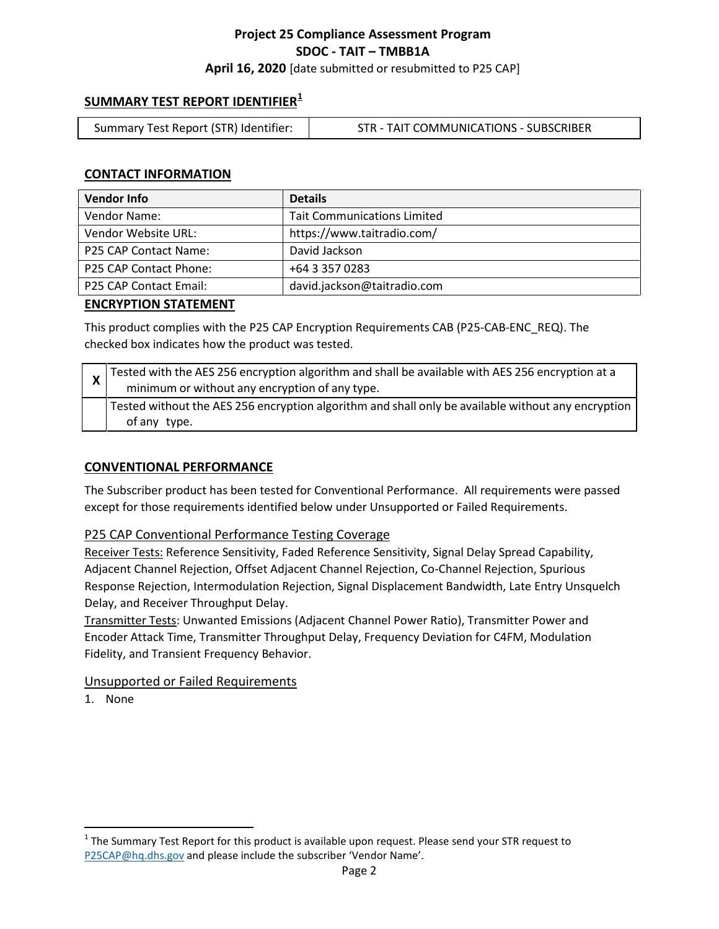**April 16, 2020** [date submitted or resubmitted to P25 CAP]

# **SUMMARY TEST REPORT IDENTIFIER[1](#page-1-0)**

| Summary Test Report (STR) Identifier: | STR - TAIT COMMUNICATIONS - SUBSCRIBER |
|---------------------------------------|----------------------------------------|
|                                       |                                        |

## **CONTACT INFORMATION**

| <b>Vendor Info</b>     | <b>Details</b>                     |
|------------------------|------------------------------------|
| Vendor Name:           | <b>Tait Communications Limited</b> |
| Vendor Website URL:    | https://www.taitradio.com/         |
| P25 CAP Contact Name:  | David Jackson                      |
| P25 CAP Contact Phone: | +64 3 357 0283                     |
| P25 CAP Contact Email: | david.jackson@taitradio.com        |

#### **ENCRYPTION STATEMENT**

This product complies with the P25 CAP Encryption Requirements CAB (P25-CAB-ENC\_REQ). The checked box indicates how the product was tested.

| $\chi$ Tested with the AES 256 encryption algorithm and shall be available with AES 256 encryption at a<br>minimum or without any encryption of any type. |
|-----------------------------------------------------------------------------------------------------------------------------------------------------------|
| Tested without the AES 256 encryption algorithm and shall only be available without any encryption<br>of any type.                                        |

## **CONVENTIONAL PERFORMANCE**

The Subscriber product has been tested for Conventional Performance. All requirements were passed except for those requirements identified below under Unsupported or Failed Requirements.

#### P25 CAP Conventional Performance Testing Coverage

Receiver Tests: Reference Sensitivity, Faded Reference Sensitivity, Signal Delay Spread Capability, Adjacent Channel Rejection, Offset Adjacent Channel Rejection, Co-Channel Rejection, Spurious Response Rejection, Intermodulation Rejection, Signal Displacement Bandwidth, Late Entry Unsquelch Delay, and Receiver Throughput Delay.

Transmitter Tests: Unwanted Emissions (Adjacent Channel Power Ratio), Transmitter Power and Encoder Attack Time, Transmitter Throughput Delay, Frequency Deviation for C4FM, Modulation Fidelity, and Transient Frequency Behavior.

#### Unsupported or Failed Requirements

<span id="page-1-0"></span> $1$  The Summary Test Report for this product is available upon request. Please send your STR request to [P25CAP@hq.dhs.gov](mailto:P25CAP@hq.dhs.gov) and please include the subscriber 'Vendor Name'.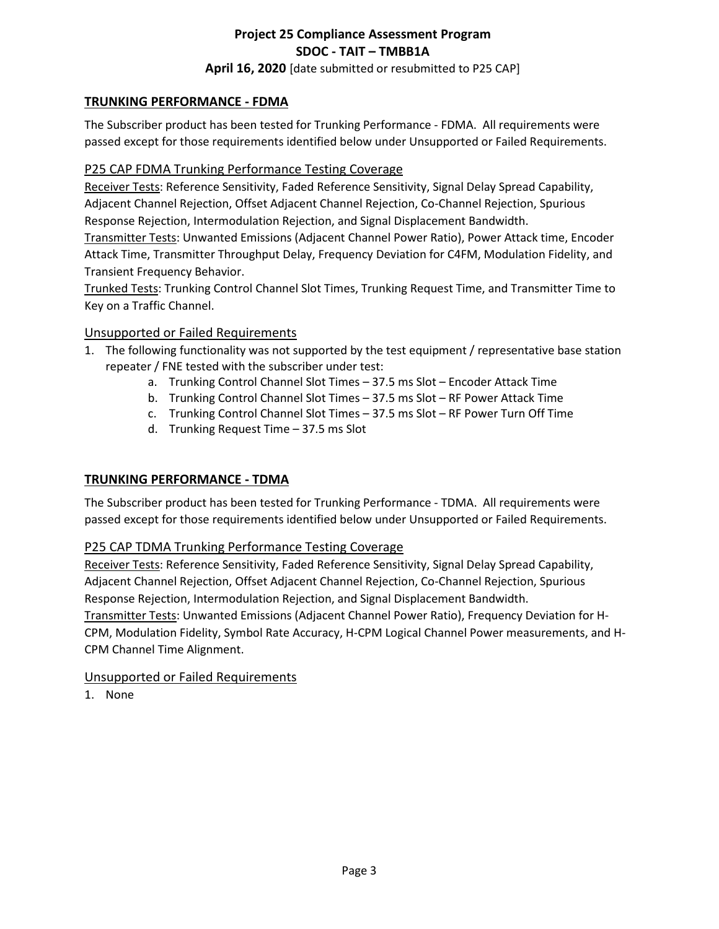**April 16, 2020** [date submitted or resubmitted to P25 CAP]

## **TRUNKING PERFORMANCE - FDMA**

The Subscriber product has been tested for Trunking Performance - FDMA. All requirements were passed except for those requirements identified below under Unsupported or Failed Requirements.

## P25 CAP FDMA Trunking Performance Testing Coverage

Receiver Tests: Reference Sensitivity, Faded Reference Sensitivity, Signal Delay Spread Capability, Adjacent Channel Rejection, Offset Adjacent Channel Rejection, Co-Channel Rejection, Spurious Response Rejection, Intermodulation Rejection, and Signal Displacement Bandwidth.

Transmitter Tests: Unwanted Emissions (Adjacent Channel Power Ratio), Power Attack time, Encoder Attack Time, Transmitter Throughput Delay, Frequency Deviation for C4FM, Modulation Fidelity, and Transient Frequency Behavior.

Trunked Tests: Trunking Control Channel Slot Times, Trunking Request Time, and Transmitter Time to Key on a Traffic Channel.

### Unsupported or Failed Requirements

- 1. The following functionality was not supported by the test equipment / representative base station repeater / FNE tested with the subscriber under test:
	- a. Trunking Control Channel Slot Times 37.5 ms Slot Encoder Attack Time
	- b. Trunking Control Channel Slot Times 37.5 ms Slot RF Power Attack Time
	- c. Trunking Control Channel Slot Times 37.5 ms Slot RF Power Turn Off Time
	- d. Trunking Request Time 37.5 ms Slot

## **TRUNKING PERFORMANCE - TDMA**

The Subscriber product has been tested for Trunking Performance - TDMA. All requirements were passed except for those requirements identified below under Unsupported or Failed Requirements.

## P25 CAP TDMA Trunking Performance Testing Coverage

Receiver Tests: Reference Sensitivity, Faded Reference Sensitivity, Signal Delay Spread Capability, Adjacent Channel Rejection, Offset Adjacent Channel Rejection, Co-Channel Rejection, Spurious Response Rejection, Intermodulation Rejection, and Signal Displacement Bandwidth. Transmitter Tests: Unwanted Emissions (Adjacent Channel Power Ratio), Frequency Deviation for H-

CPM, Modulation Fidelity, Symbol Rate Accuracy, H-CPM Logical Channel Power measurements, and H-CPM Channel Time Alignment.

#### Unsupported or Failed Requirements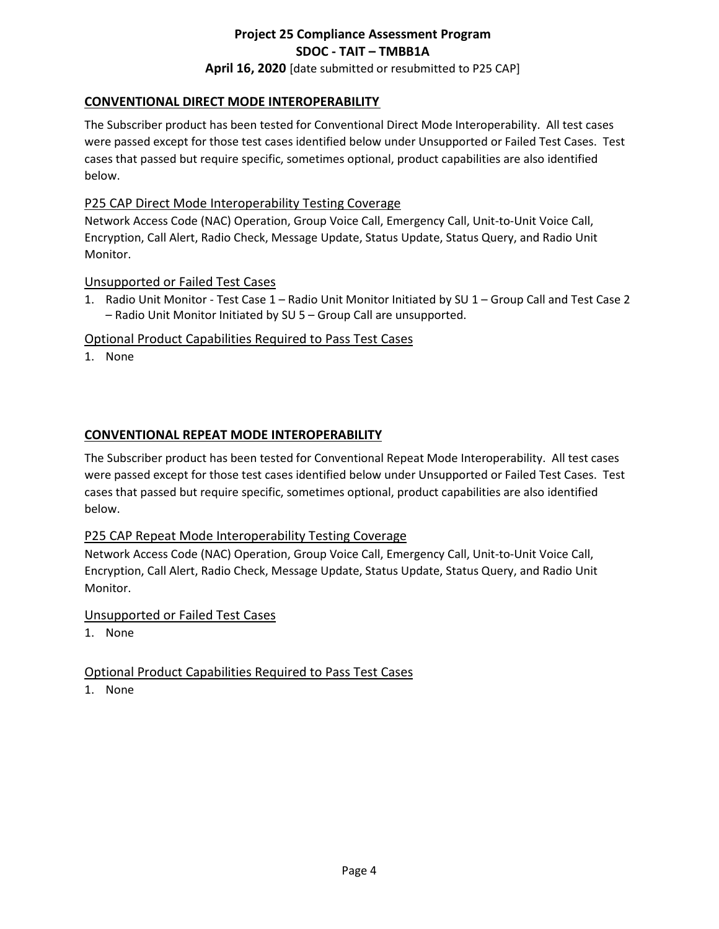# **Project 25 Compliance Assessment Program SDOC - TAIT – TMBB1A April 16, 2020** [date submitted or resubmitted to P25 CAP]

# **CONVENTIONAL DIRECT MODE INTEROPERABILITY**

The Subscriber product has been tested for Conventional Direct Mode Interoperability. All test cases were passed except for those test cases identified below under Unsupported or Failed Test Cases. Test cases that passed but require specific, sometimes optional, product capabilities are also identified below.

# P25 CAP Direct Mode Interoperability Testing Coverage

Network Access Code (NAC) Operation, Group Voice Call, Emergency Call, Unit-to-Unit Voice Call, Encryption, Call Alert, Radio Check, Message Update, Status Update, Status Query, and Radio Unit Monitor.

## Unsupported or Failed Test Cases

1. Radio Unit Monitor - Test Case 1 – Radio Unit Monitor Initiated by SU 1 – Group Call and Test Case 2 – Radio Unit Monitor Initiated by SU 5 – Group Call are unsupported.

## Optional Product Capabilities Required to Pass Test Cases

1. None

# **CONVENTIONAL REPEAT MODE INTEROPERABILITY**

The Subscriber product has been tested for Conventional Repeat Mode Interoperability. All test cases were passed except for those test cases identified below under Unsupported or Failed Test Cases. Test cases that passed but require specific, sometimes optional, product capabilities are also identified below.

## P25 CAP Repeat Mode Interoperability Testing Coverage

Network Access Code (NAC) Operation, Group Voice Call, Emergency Call, Unit-to-Unit Voice Call, Encryption, Call Alert, Radio Check, Message Update, Status Update, Status Query, and Radio Unit Monitor.

## Unsupported or Failed Test Cases

1. None

## Optional Product Capabilities Required to Pass Test Cases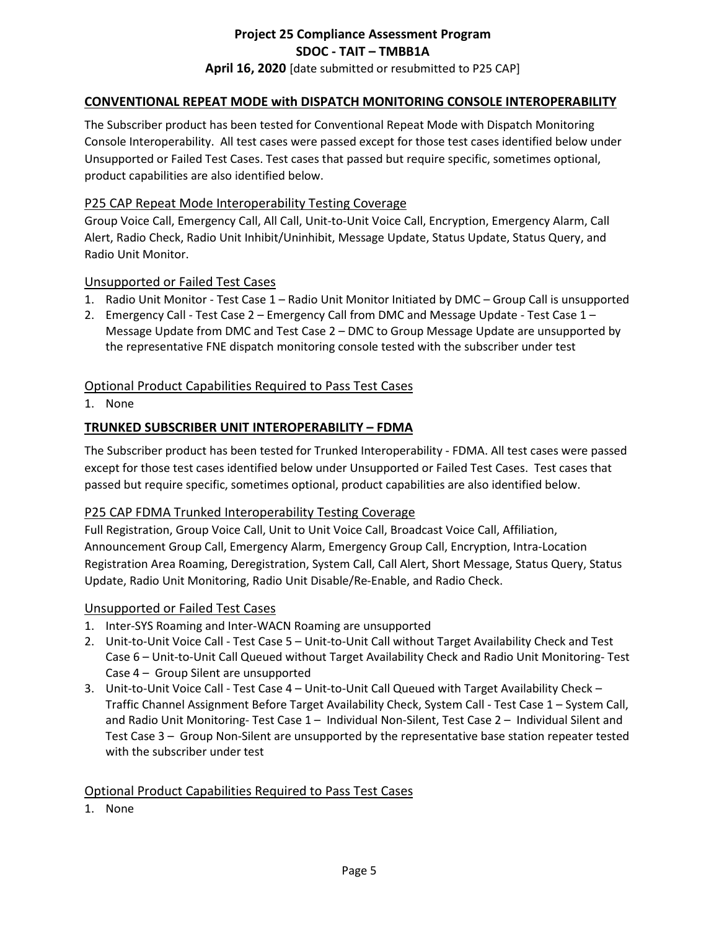# **Project 25 Compliance Assessment Program SDOC - TAIT – TMBB1A April 16, 2020** [date submitted or resubmitted to P25 CAP]

## **CONVENTIONAL REPEAT MODE with DISPATCH MONITORING CONSOLE INTEROPERABILITY**

The Subscriber product has been tested for Conventional Repeat Mode with Dispatch Monitoring Console Interoperability. All test cases were passed except for those test cases identified below under Unsupported or Failed Test Cases. Test cases that passed but require specific, sometimes optional, product capabilities are also identified below.

#### P25 CAP Repeat Mode Interoperability Testing Coverage

Group Voice Call, Emergency Call, All Call, Unit-to-Unit Voice Call, Encryption, Emergency Alarm, Call Alert, Radio Check, Radio Unit Inhibit/Uninhibit, Message Update, Status Update, Status Query, and Radio Unit Monitor.

#### Unsupported or Failed Test Cases

- 1. Radio Unit Monitor Test Case 1 Radio Unit Monitor Initiated by DMC Group Call is unsupported
- 2. Emergency Call Test Case 2 Emergency Call from DMC and Message Update Test Case 1 Message Update from DMC and Test Case 2 – DMC to Group Message Update are unsupported by the representative FNE dispatch monitoring console tested with the subscriber under test

### Optional Product Capabilities Required to Pass Test Cases

1. None

#### **TRUNKED SUBSCRIBER UNIT INTEROPERABILITY – FDMA**

The Subscriber product has been tested for Trunked Interoperability - FDMA. All test cases were passed except for those test cases identified below under Unsupported or Failed Test Cases. Test cases that passed but require specific, sometimes optional, product capabilities are also identified below.

#### P25 CAP FDMA Trunked Interoperability Testing Coverage

Full Registration, Group Voice Call, Unit to Unit Voice Call, Broadcast Voice Call, Affiliation, Announcement Group Call, Emergency Alarm, Emergency Group Call, Encryption, Intra-Location Registration Area Roaming, Deregistration, System Call, Call Alert, Short Message, Status Query, Status Update, Radio Unit Monitoring, Radio Unit Disable/Re-Enable, and Radio Check.

#### Unsupported or Failed Test Cases

- 1. Inter-SYS Roaming and Inter-WACN Roaming are unsupported
- 2. Unit-to-Unit Voice Call Test Case 5 Unit-to-Unit Call without Target Availability Check and Test Case 6 – Unit-to-Unit Call Queued without Target Availability Check and Radio Unit Monitoring- Test Case 4 – Group Silent are unsupported
- 3. Unit-to-Unit Voice Call Test Case 4 Unit-to-Unit Call Queued with Target Availability Check Traffic Channel Assignment Before Target Availability Check, System Call - Test Case 1 – System Call, and Radio Unit Monitoring- Test Case 1 – Individual Non-Silent, Test Case 2 – Individual Silent and Test Case 3 – Group Non-Silent are unsupported by the representative base station repeater tested with the subscriber under test

#### Optional Product Capabilities Required to Pass Test Cases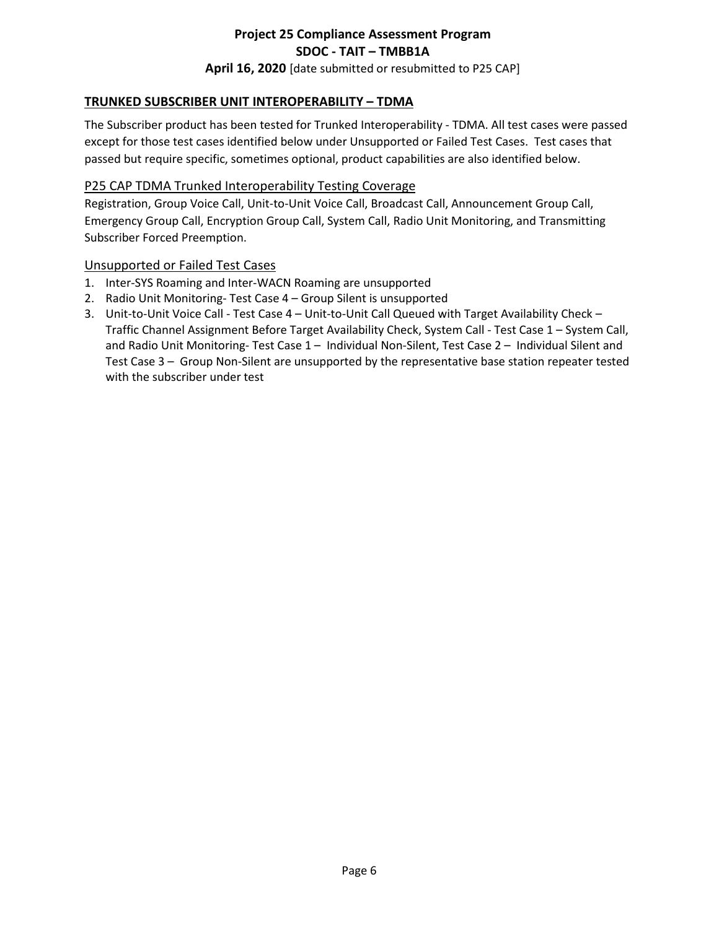# **Project 25 Compliance Assessment Program SDOC - TAIT – TMBB1A April 16, 2020** [date submitted or resubmitted to P25 CAP]

# **TRUNKED SUBSCRIBER UNIT INTEROPERABILITY – TDMA**

The Subscriber product has been tested for Trunked Interoperability - TDMA. All test cases were passed except for those test cases identified below under Unsupported or Failed Test Cases. Test cases that passed but require specific, sometimes optional, product capabilities are also identified below.

## P25 CAP TDMA Trunked Interoperability Testing Coverage

Registration, Group Voice Call, Unit-to-Unit Voice Call, Broadcast Call, Announcement Group Call, Emergency Group Call, Encryption Group Call, System Call, Radio Unit Monitoring, and Transmitting Subscriber Forced Preemption.

### Unsupported or Failed Test Cases

- 1. Inter-SYS Roaming and Inter-WACN Roaming are unsupported
- 2. Radio Unit Monitoring- Test Case 4 Group Silent is unsupported
- 3. Unit-to-Unit Voice Call Test Case 4 Unit-to-Unit Call Queued with Target Availability Check Traffic Channel Assignment Before Target Availability Check, System Call - Test Case 1 – System Call, and Radio Unit Monitoring- Test Case 1 – Individual Non-Silent, Test Case 2 – Individual Silent and Test Case 3 – Group Non-Silent are unsupported by the representative base station repeater tested with the subscriber under test